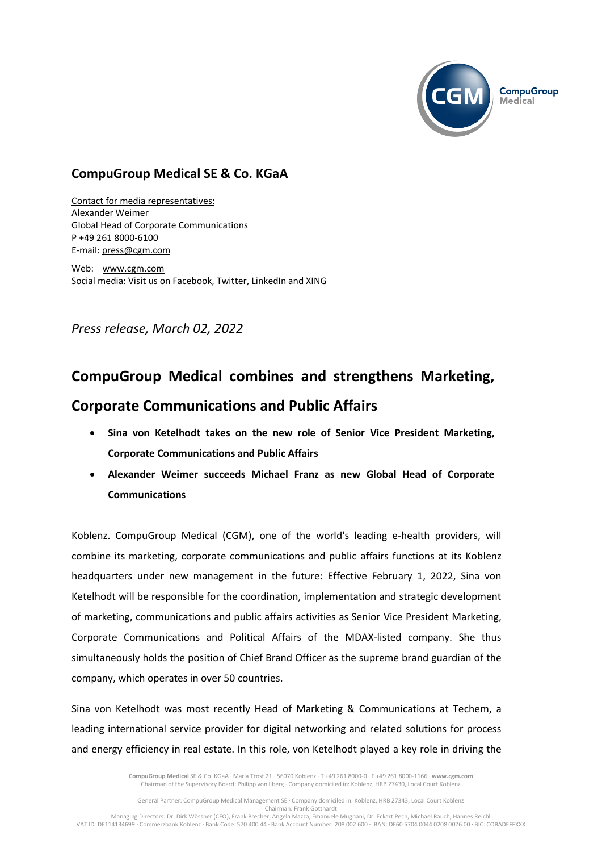

## **CompuGroup Medical SE & Co. KGaA**

Contact for media representatives: Alexander Weimer Global Head of Corporate Communications P +49 261 8000-6100 E-mail: [press@cgm.com](mailto:press@cgm.com)

Web: [www.cgm.com](http://www.cgm.com/) Social media: Visit us on [Facebook,](https://www.facebook.com/CompuGroup-Medical-SE-Co-KGaA-112275907098431) [Twitter,](https://twitter.com/CGMeHealth) [LinkedIn](https://www.linkedin.com/company/1453025/) and [XING](https://www.xing.com/companies/compugroupmedicalag)

*Press release, March 02, 2022*

## **CompuGroup Medical combines and strengthens Marketing,**

## **Corporate Communications and Public Affairs**

- **Sina von Ketelhodt takes on the new role of Senior Vice President Marketing, Corporate Communications and Public Affairs**
- **Alexander Weimer succeeds Michael Franz as new Global Head of Corporate Communications**

Koblenz. CompuGroup Medical (CGM), one of the world's leading e-health providers, will combine its marketing, corporate communications and public affairs functions at its Koblenz headquarters under new management in the future: Effective February 1, 2022, Sina von Ketelhodt will be responsible for the coordination, implementation and strategic development of marketing, communications and public affairs activities as Senior Vice President Marketing, Corporate Communications and Political Affairs of the MDAX-listed company. She thus simultaneously holds the position of Chief Brand Officer as the supreme brand guardian of the company, which operates in over 50 countries.

Sina von Ketelhodt was most recently Head of Marketing & Communications at Techem, a leading international service provider for digital networking and related solutions for process and energy efficiency in real estate. In this role, von Ketelhodt played a key role in driving the

> **CompuGroup Medical** SE & Co. KGaA · Maria Trost 21 · 56070 Koblenz · T +49 261 8000-0 · F +49 261 8000-1166 · **www.cgm.com** Chairman of the Supervisory Board: Philipp von Ilberg · Company domiciled in: Koblenz, HRB 27430, Local Court Koblenz

General Partner: CompuGroup Medical Management SE · Company domiciled in: Koblenz, HRB 27343, Local Court Koblenz Chairman: Frank Gotthardt Managing Directors: Dr. Dirk Wössner (CEO), Frank Brecher, Angela Mazza, Emanuele Mugnani, Dr. Eckart Pech, Michael Rauch, Hannes Reichl

VAT ID: DE114134699 · Commerzbank Koblenz · Bank Code: 570 400 44 · Bank Account Number: 208 002 600 · IBAN: DE60 5704 0044 0208 0026 00 · BIC: COBADEFFXXX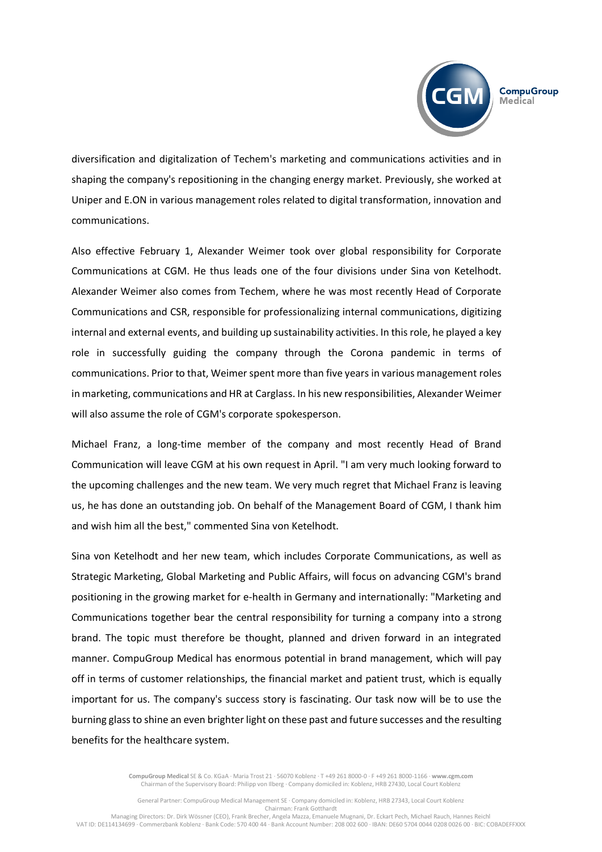

diversification and digitalization of Techem's marketing and communications activities and in shaping the company's repositioning in the changing energy market. Previously, she worked at Uniper and E.ON in various management roles related to digital transformation, innovation and communications.

Also effective February 1, Alexander Weimer took over global responsibility for Corporate Communications at CGM. He thus leads one of the four divisions under Sina von Ketelhodt. Alexander Weimer also comes from Techem, where he was most recently Head of Corporate Communications and CSR, responsible for professionalizing internal communications, digitizing internal and external events, and building up sustainability activities. In this role, he played a key role in successfully guiding the company through the Corona pandemic in terms of communications. Prior to that, Weimer spent more than five years in various management roles in marketing, communications and HR at Carglass. In his new responsibilities, Alexander Weimer will also assume the role of CGM's corporate spokesperson.

Michael Franz, a long-time member of the company and most recently Head of Brand Communication will leave CGM at his own request in April. "I am very much looking forward to the upcoming challenges and the new team. We very much regret that Michael Franz is leaving us, he has done an outstanding job. On behalf of the Management Board of CGM, I thank him and wish him all the best," commented Sina von Ketelhodt.

Sina von Ketelhodt and her new team, which includes Corporate Communications, as well as Strategic Marketing, Global Marketing and Public Affairs, will focus on advancing CGM's brand positioning in the growing market for e-health in Germany and internationally: "Marketing and Communications together bear the central responsibility for turning a company into a strong brand. The topic must therefore be thought, planned and driven forward in an integrated manner. CompuGroup Medical has enormous potential in brand management, which will pay off in terms of customer relationships, the financial market and patient trust, which is equally important for us. The company's success story is fascinating. Our task now will be to use the burning glass to shine an even brighter light on these past and future successes and the resulting benefits for the healthcare system.

> **CompuGroup Medical** SE & Co. KGaA · Maria Trost 21 · 56070 Koblenz · T +49 261 8000-0 · F +49 261 8000-1166 · **www.cgm.com** Chairman of the Supervisory Board: Philipp von Ilberg · Company domiciled in: Koblenz, HRB 27430, Local Court Koblenz

General Partner: CompuGroup Medical Management SE · Company domiciled in: Koblenz, HRB 27343, Local Court Koblenz Chairman: Frank Gotthardt

Managing Directors: Dr. Dirk Wössner (CEO), Frank Brecher, Angela Mazza, Emanuele Mugnani, Dr. Eckart Pech, Michael Rauch, Hannes Reichl VAT ID: DE114134699 · Commerzbank Koblenz · Bank Code: 570 400 44 · Bank Account Number: 208 002 600 · IBAN: DE60 5704 0044 0208 0026 00 · BIC: COBADEFFXXX